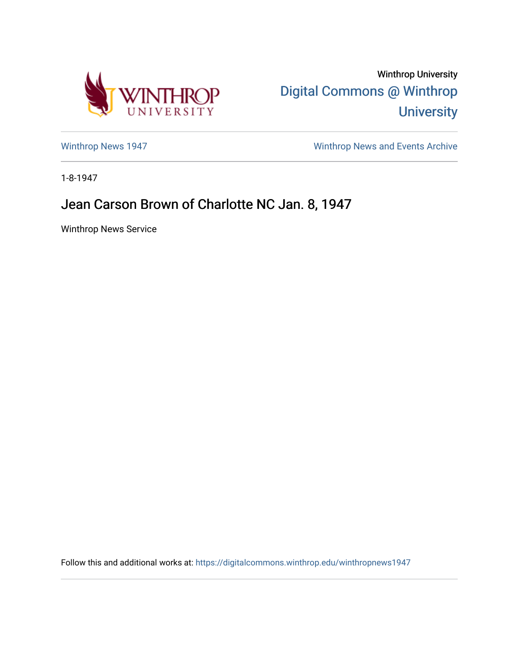

Winthrop University [Digital Commons @ Winthrop](https://digitalcommons.winthrop.edu/)  **University** 

[Winthrop News 1947](https://digitalcommons.winthrop.edu/winthropnews1947) [Winthrop News and Events Archive](https://digitalcommons.winthrop.edu/winthropnewsarchives) 

1-8-1947

## Jean Carson Brown of Charlotte NC Jan. 8, 1947

Winthrop News Service

Follow this and additional works at: [https://digitalcommons.winthrop.edu/winthropnews1947](https://digitalcommons.winthrop.edu/winthropnews1947?utm_source=digitalcommons.winthrop.edu%2Fwinthropnews1947%2F25&utm_medium=PDF&utm_campaign=PDFCoverPages)